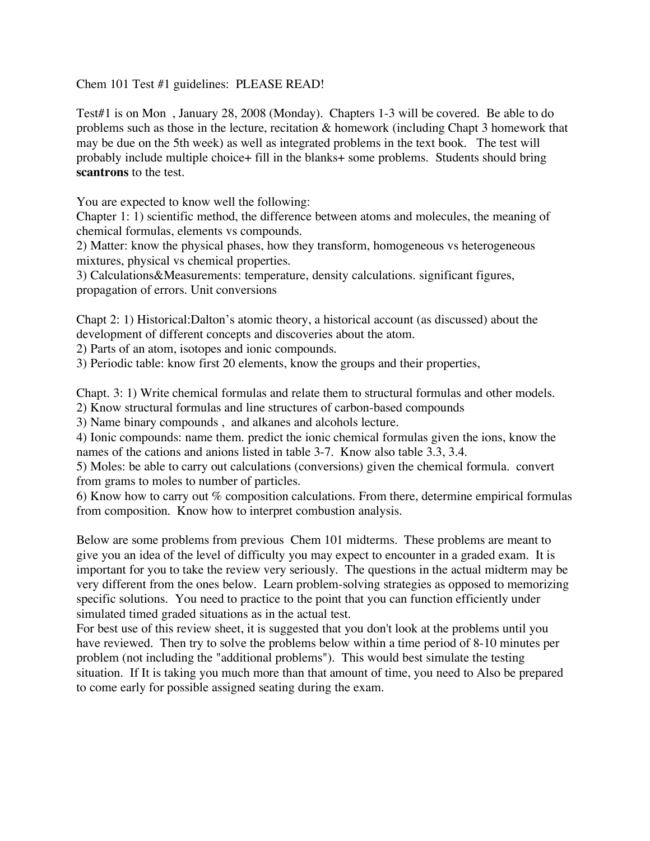Chem 101 Test #1 guidelines: PLEASE READ!

Test#1 is on Mon , January 28, 2008 (Monday). Chapters 1-3 will be covered. Be able to do problems such as those in the lecture, recitation & homework (including Chapt 3 homework that may be due on the 5th week) as well as integrated problems in the text book. The test will probably include multiple choice+ fill in the blanks+ some problems. Students should bring **scantrons** to the test.

You are expected to know well the following:

Chapter 1: 1) scientific method, the difference between atoms and molecules, the meaning of chemical formulas, elements vs compounds.

2) Matter: know the physical phases, how they transform, homogeneous vs heterogeneous mixtures, physical vs chemical properties.

3) Calculations&Measurements: temperature, density calculations. significant figures, propagation of errors. Unit conversions

Chapt 2: 1) Historical:Dalton's atomic theory, a historical account (as discussed) about the development of different concepts and discoveries about the atom.

2) Parts of an atom, isotopes and ionic compounds.

3) Periodic table: know first 20 elements, know the groups and their properties,

Chapt. 3: 1) Write chemical formulas and relate them to structural formulas and other models.

2) Know structural formulas and line structures of carbon-based compounds

3) Name binary compounds , and alkanes and alcohols lecture.

4) Ionic compounds: name them. predict the ionic chemical formulas given the ions, know the names of the cations and anions listed in table 3-7. Know also table 3.3, 3.4.

5) Moles: be able to carry out calculations (conversions) given the chemical formula. convert from grams to moles to number of particles.

6) Know how to carry out  $%$  composition calculations. From there, determine empirical formulas from composition. Know how to interpret combustion analysis.

Below are some problems from previous Chem 101 midterms. These problems are meant to give you an idea of the level of difficulty you may expect to encounter in a graded exam. It is important for you to take the review very seriously. The questions in the actual midterm may be very different from the ones below. Learn problem-solving strategies as opposed to memorizing specific solutions. You need to practice to the point that you can function efficiently under simulated timed graded situations as in the actual test.

For best use of this review sheet, it is suggested that you don't look at the problems until you have reviewed. Then try to solve the problems below within a time period of 8-10 minutes per problem (not including the "additional problems"). This would best simulate the testing situation. If It is taking you much more than that amount of time, you need to Also be prepared to come early for possible assigned seating during the exam.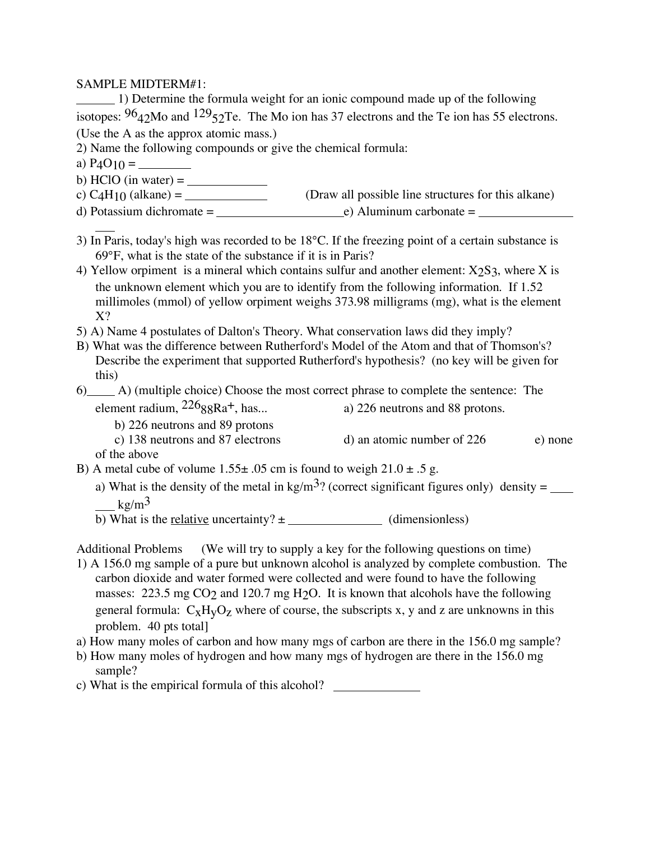SAMPLE MIDTERM#1:

1) Determine the formula weight for an ionic compound made up of the following isotopes:  $96<sub>42</sub>$ Mo and  $129<sub>52</sub>$ Te. The Mo ion has 37 electrons and the Te ion has 55 electrons. (Use the A as the approx atomic mass.)

2) Name the following compounds or give the chemical formula:

- a) P4O10 =
- b) HClO (in water) =  $\frac{1}{\sqrt{1-\frac{1}{\sqrt{1-\frac{1}{\sqrt{1-\frac{1}{\sqrt{1-\frac{1}{\sqrt{1-\frac{1}{\sqrt{1-\frac{1}{\sqrt{1-\frac{1}{\sqrt{1-\frac{1}{\sqrt{1-\frac{1}{\sqrt{1-\frac{1}{\sqrt{1-\frac{1}{\sqrt{1-\frac{1}{\sqrt{1-\frac{1}{\sqrt{1-\frac{1}{\sqrt{1-\frac{1}{\sqrt{1-\frac{1}{\sqrt{1-\frac{1}{\sqrt{1-\frac{1}{\sqrt{1-\frac{1}{\sqrt{1-\frac{1}{\sqrt{1-\frac{1}{\sqrt{1-\$
- c) C4H10 (alkane) = (Draw all possible line structures for this alkane)
- d) Potassium dichromate =  $e)$  Aluminum carbonate =  $\frac{1}{2}$
- 3) In Paris, today's high was recorded to be 18°C. If the freezing point of a certain substance is 69°F, what is the state of the substance if it is in Paris?
- 4) Yellow orpiment is a mineral which contains sulfur and another element:  $X_2S_3$ , where X is the unknown element which you are to identify from the following information. If 1.52 millimoles (mmol) of yellow orpiment weighs 373.98 milligrams (mg), what is the element X?
- 5) A) Name 4 postulates of Dalton's Theory. What conservation laws did they imply?
- B) What was the difference between Rutherford's Model of the Atom and that of Thomson's? Describe the experiment that supported Rutherford's hypothesis? (no key will be given for this)
- 6) A) (multiple choice) Choose the most correct phrase to complete the sentence: The element radium,  $226_{88}Ra^{+}$ , has... a) 226 neutrons and 88 protons.
	- b) 226 neutrons and 89 protons c) 138 neutrons and 87 electrons d) an atomic number of 226 e) none of the above
- 
- B) A metal cube of volume  $1.55\pm .05$  cm is found to weigh  $21.0 \pm .5$  g.
	- a) What is the density of the metal in kg/m<sup>3</sup>? (correct significant figures only) density =  $\frac{ }{ }$  $k\sigma/m^3$
	- b) What is the <u>relative</u> uncertainty?  $\pm$  (dimensionless)

Additional Problems (We will try to supply a key for the following questions on time)

- 1) A 156.0 mg sample of a pure but unknown alcohol is analyzed by complete combustion. The carbon dioxide and water formed were collected and were found to have the following masses: 223.5 mg CO<sub>2</sub> and 120.7 mg H<sub>2</sub>O. It is known that alcohols have the following general formula:  $C_XH_VO_Z$  where of course, the subscripts x, y and z are unknowns in this problem. 40 pts total]
- a) How many moles of carbon and how many mgs of carbon are there in the 156.0 mg sample?
- b) How many moles of hydrogen and how many mgs of hydrogen are there in the 156.0 mg sample?
- c) What is the empirical formula of this alcohol?